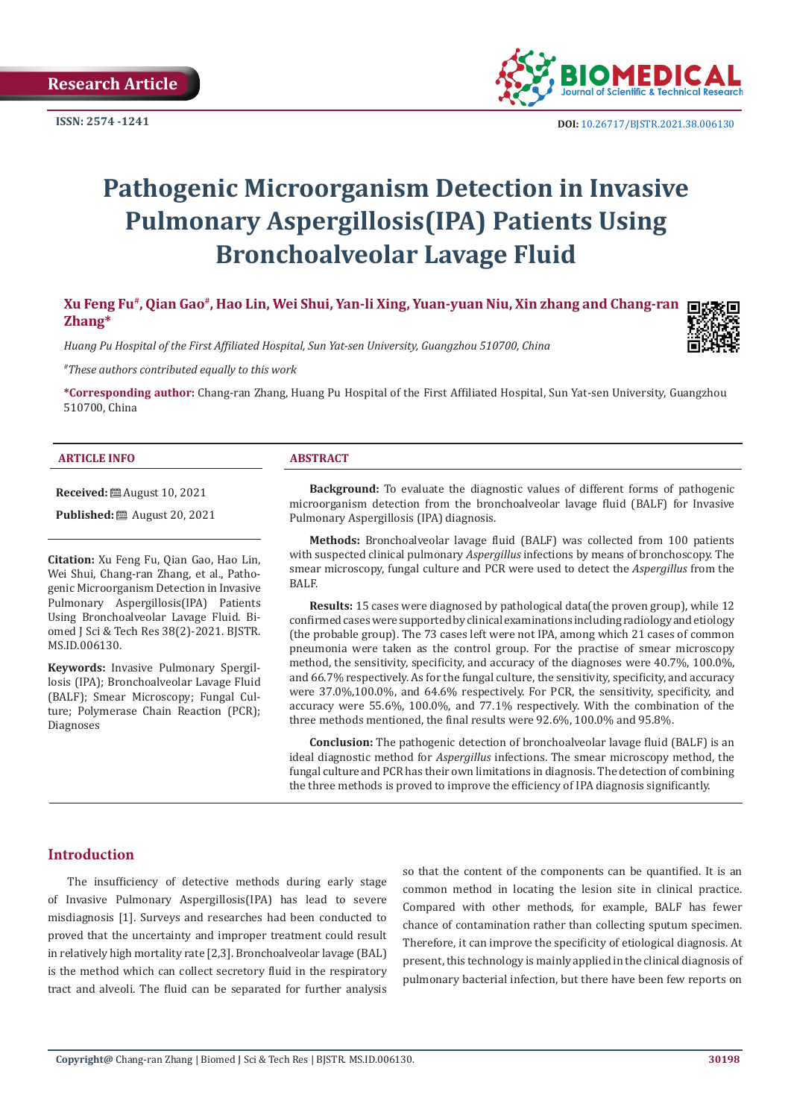**ISSN: 2574 -1241**



# **Pathogenic Microorganism Detection in Invasive Pulmonary Aspergillosis(IPA) Patients Using Bronchoalveolar Lavage Fluid**

**Xu Feng Fu#, Qian Gao#, Hao Lin, Wei Shui, Yan-li Xing, Yuan-yuan Niu, Xin zhang and Chang-ran Zhang\***

*Huang Pu Hospital of the First Affiliated Hospital, Sun Yat-sen University, Guangzhou 510700, China*

*#These authors contributed equally to this work*

**\*Corresponding author:** Chang-ran Zhang, Huang Pu Hospital of the First Affiliated Hospital, Sun Yat-sen University, Guangzhou 510700, China

#### **ARTICLE INFO ABSTRACT**

**Received:** August 10, 2021

**Published:** ■ August 20, 2021

**Citation:** Xu Feng Fu, Qian Gao, Hao Lin, Wei Shui, Chang-ran Zhang, et al., Pathogenic Microorganism Detection in Invasive Pulmonary Aspergillosis(IPA) Patients Using Bronchoalveolar Lavage Fluid. Biomed J Sci & Tech Res 38(2)-2021. BJSTR. MS.ID.006130.

**Keywords:** Invasive Pulmonary Spergillosis (IPA); Bronchoalveolar Lavage Fluid (BALF); Smear Microscopy; Fungal Culture; Polymerase Chain Reaction (PCR); Diagnoses

**Background:** To evaluate the diagnostic values of different forms of pathogenic microorganism detection from the bronchoalveolar lavage fluid (BALF) for Invasive Pulmonary Aspergillosis (IPA) diagnosis.

**Methods:** Bronchoalveolar lavage fluid (BALF) was collected from 100 patients with suspected clinical pulmonary *Aspergillus* infections by means of bronchoscopy. The smear microscopy, fungal culture and PCR were used to detect the *Aspergillus* from the BALF.

**Results:** 15 cases were diagnosed by pathological data(the proven group), while 12 confirmed cases were supported by clinical examinations including radiology and etiology (the probable group). The 73 cases left were not IPA, among which 21 cases of common pneumonia were taken as the control group. For the practise of smear microscopy method, the sensitivity, specificity, and accuracy of the diagnoses were 40.7%, 100.0%, and 66.7% respectively. As for the fungal culture, the sensitivity, specificity, and accuracy were 37.0%,100.0%, and 64.6% respectively. For PCR, the sensitivity, specificity, and accuracy were 55.6%, 100.0%, and 77.1% respectively. With the combination of the three methods mentioned, the final results were 92.6%, 100.0% and 95.8%.

**Conclusion:** The pathogenic detection of bronchoalveolar lavage fluid (BALF) is an ideal diagnostic method for *Aspergillus* infections. The smear microscopy method, the fungal culture and PCR has their own limitations in diagnosis. The detection of combining the three methods is proved to improve the efficiency of IPA diagnosis significantly.

#### **Introduction**

The insufficiency of detective methods during early stage of Invasive Pulmonary Aspergillosis(IPA) has lead to severe misdiagnosis [1]. Surveys and researches had been conducted to proved that the uncertainty and improper treatment could result in relatively high mortality rate [2,3]. Bronchoalveolar lavage (BAL) is the method which can collect secretory fluid in the respiratory tract and alveoli. The fluid can be separated for further analysis

so that the content of the components can be quantified. It is an common method in locating the lesion site in clinical practice. Compared with other methods, for example, BALF has fewer chance of contamination rather than collecting sputum specimen. Therefore, it can improve the specificity of etiological diagnosis. At present, this technology is mainly applied in the clinical diagnosis of pulmonary bacterial infection, but there have been few reports on

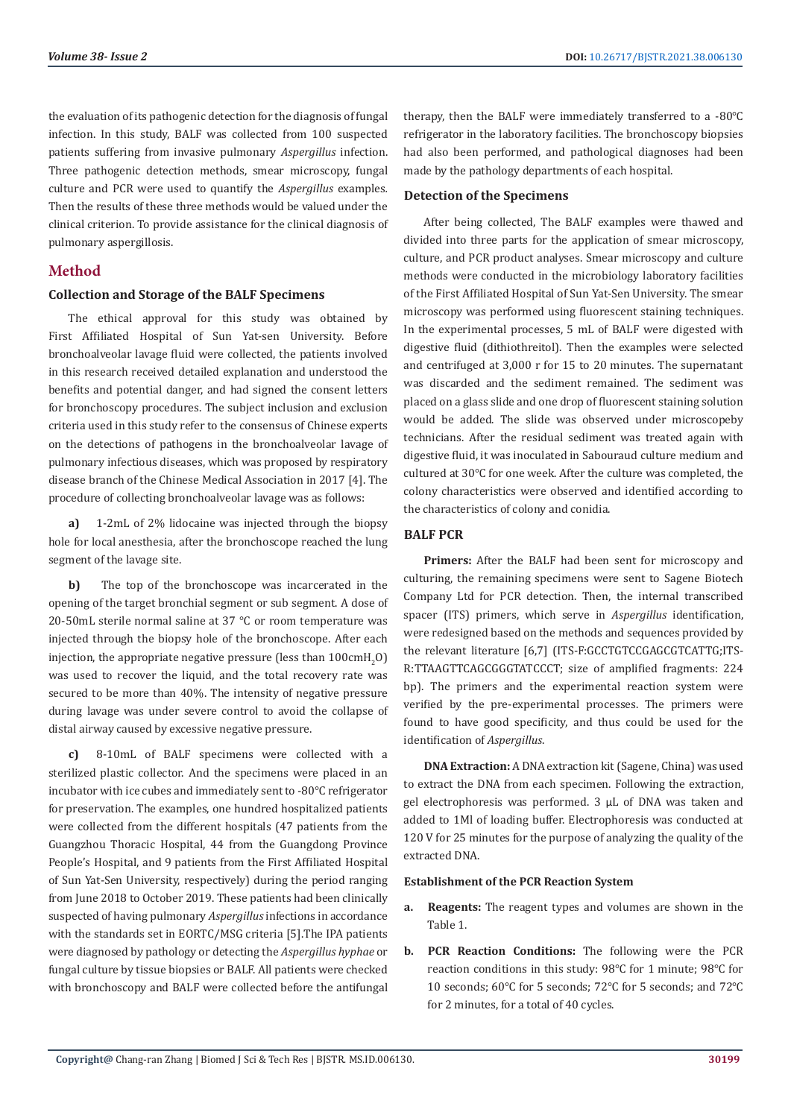the evaluation of its pathogenic detection for the diagnosis of fungal infection. In this study, BALF was collected from 100 suspected patients suffering from invasive pulmonary *Aspergillus* infection. Three pathogenic detection methods, smear microscopy, fungal culture and PCR were used to quantify the *Aspergillus* examples*.*  Then the results of these three methods would be valued under the clinical criterion. To provide assistance for the clinical diagnosis of pulmonary aspergillosis.

# **Method**

#### **Collection and Storage of the BALF Specimens**

The ethical approval for this study was obtained by First Affiliated Hospital of Sun Yat-sen University. Before bronchoalveolar lavage fluid were collected, the patients involved in this research received detailed explanation and understood the benefits and potential danger, and had signed the consent letters for bronchoscopy procedures. The subject inclusion and exclusion criteria used in this study refer to the consensus of Chinese experts on the detections of pathogens in the bronchoalveolar lavage of pulmonary infectious diseases, which was proposed by respiratory disease branch of the Chinese Medical Association in 2017 [4]. The procedure of collecting bronchoalveolar lavage was as follows:

**a)** 1-2mL of 2% lidocaine was injected through the biopsy hole for local anesthesia, after the bronchoscope reached the lung segment of the lavage site.

**b)** The top of the bronchoscope was incarcerated in the opening of the target bronchial segment or sub segment. A dose of 20-50mL sterile normal saline at 37 ℃ or room temperature was injected through the biopsy hole of the bronchoscope. After each injection, the appropriate negative pressure (less than  $100\mathrm{cm} \mathrm{H}_2\mathrm{O}$ ) was used to recover the liquid, and the total recovery rate was secured to be more than 40%. The intensity of negative pressure during lavage was under severe control to avoid the collapse of distal airway caused by excessive negative pressure.

**c)** 8-10mL of BALF specimens were collected with a sterilized plastic collector. And the specimens were placed in an incubator with ice cubes and immediately sent to -80℃ refrigerator for preservation. The examples, one hundred hospitalized patients were collected from the different hospitals (47 patients from the Guangzhou Thoracic Hospital, 44 from the Guangdong Province People's Hospital, and 9 patients from the First Affiliated Hospital of Sun Yat-Sen University, respectively) during the period ranging from June 2018 to October 2019. These patients had been clinically suspected of having pulmonary *Aspergillus* infections in accordance with the standards set in EORTC/MSG criteria [5].The IPA patients were diagnosed by pathology or detecting the *Aspergillus hyphae* or fungal culture by tissue biopsies or BALF. All patients were checked with bronchoscopy and BALF were collected before the antifungal

therapy, then the BALF were immediately transferred to a -80℃ refrigerator in the laboratory facilities. The bronchoscopy biopsies had also been performed, and pathological diagnoses had been made by the pathology departments of each hospital.

#### **Detection of the Specimens**

After being collected, The BALF examples were thawed and divided into three parts for the application of smear microscopy, culture, and PCR product analyses. Smear microscopy and culture methods were conducted in the microbiology laboratory facilities of the First Affiliated Hospital of Sun Yat-Sen University. The smear microscopy was performed using fluorescent staining techniques. In the experimental processes, 5 mL of BALF were digested with digestive fluid (dithiothreitol). Then the examples were selected and centrifuged at 3,000 r for 15 to 20 minutes. The supernatant was discarded and the sediment remained. The sediment was placed on a glass slide and one drop of fluorescent staining solution would be added. The slide was observed under microscopeby technicians. After the residual sediment was treated again with digestive fluid, it was inoculated in Sabouraud culture medium and cultured at 30℃ for one week. After the culture was completed, the colony characteristics were observed and identified according to the characteristics of colony and conidia.

#### **BALF PCR**

**Primers:** After the BALF had been sent for microscopy and culturing, the remaining specimens were sent to Sagene Biotech Company Ltd for PCR detection. Then, the internal transcribed spacer (ITS) primers, which serve in *Aspergillus* identification, were redesigned based on the methods and sequences provided by the relevant literature [6,7] (ITS-F:GCCTGTCCGAGCGTCATTG;ITS-R:TTAAGTTCAGCGGGTATCCCT; size of amplified fragments: 224 bp). The primers and the experimental reaction system were verified by the pre-experimental processes. The primers were found to have good specificity, and thus could be used for the identification of *Aspergillus*.

**DNA Extraction:** A DNA extraction kit (Sagene, China) was used to extract the DNA from each specimen. Following the extraction, gel electrophoresis was performed. 3 μL of DNA was taken and added to 1Μl of loading buffer. Electrophoresis was conducted at 120 V for 25 minutes for the purpose of analyzing the quality of the extracted DNA.

#### **Establishment of the PCR Reaction System**

- **a. Reagents:** The reagent types and volumes are shown in the Table 1.
- **b. PCR Reaction Conditions:** The following were the PCR reaction conditions in this study: 98℃ for 1 minute; 98℃ for 10 seconds; 60℃ for 5 seconds; 72℃ for 5 seconds; and 72℃ for 2 minutes, for a total of 40 cycles.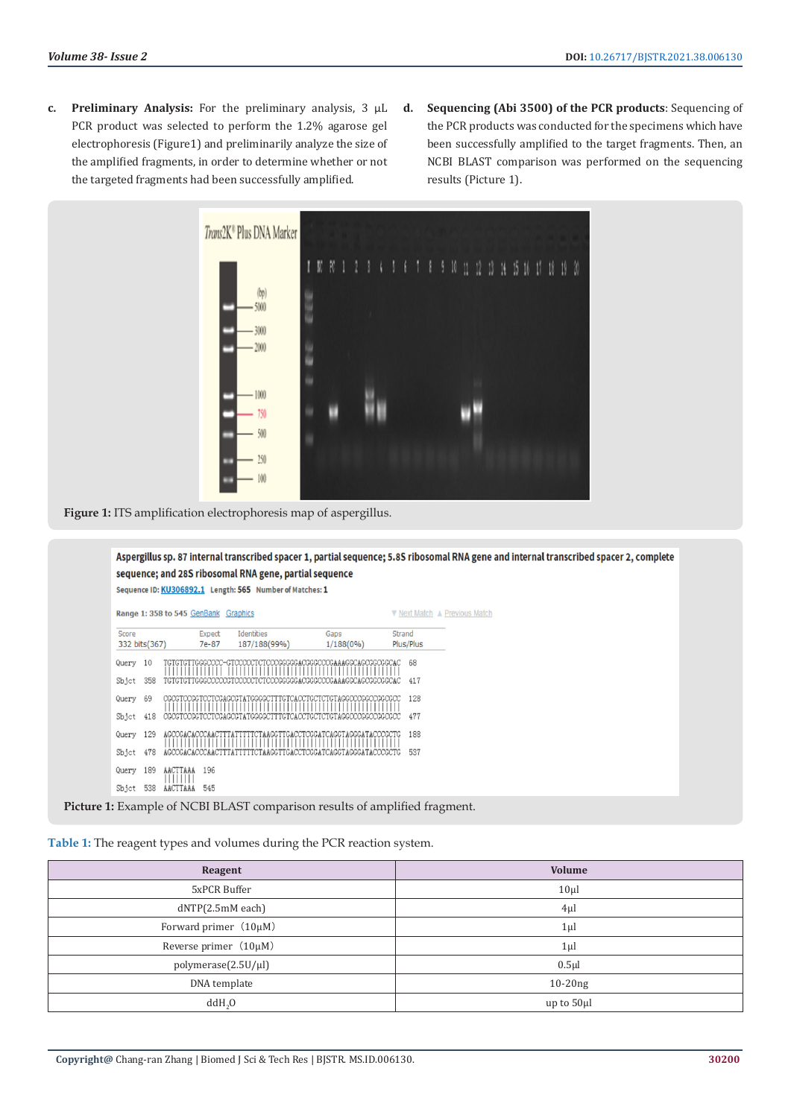- **c. Preliminary Analysis:** For the preliminary analysis, 3 μL PCR product was selected to perform the 1.2% agarose gel electrophoresis (Figure1) and preliminarily analyze the size of the amplified fragments, in order to determine whether or not the targeted fragments had been successfully amplified.
- **d. Sequencing (Abi 3500) of the PCR products**: Sequencing of the PCR products was conducted for the specimens which have been successfully amplified to the target fragments. Then, an NCBI BLAST comparison was performed on the sequencing results (Picture 1).



**Figure 1:** ITS amplification electrophoresis map of aspergillus.



**Picture 1:** Example of NCBI BLAST comparison results of amplified fragment.

**Table 1:** The reagent types and volumes during the PCR reaction system.

| Reagent                    | <b>Volume</b> |
|----------------------------|---------------|
| 5xPCR Buffer               | $10\mu$       |
| dNTP(2.5mM each)           | $4\mu$ l      |
| Forward primer $(10\mu M)$ | $1\mu$        |
| Reverse primer (10µM)      | $1\mu$        |
| polymerase(2.5U/µl)        | $0.5$ µl      |
| DNA template               | $10-20ng$     |
| ddH <sub>2</sub> O         | up to $50\mu$ |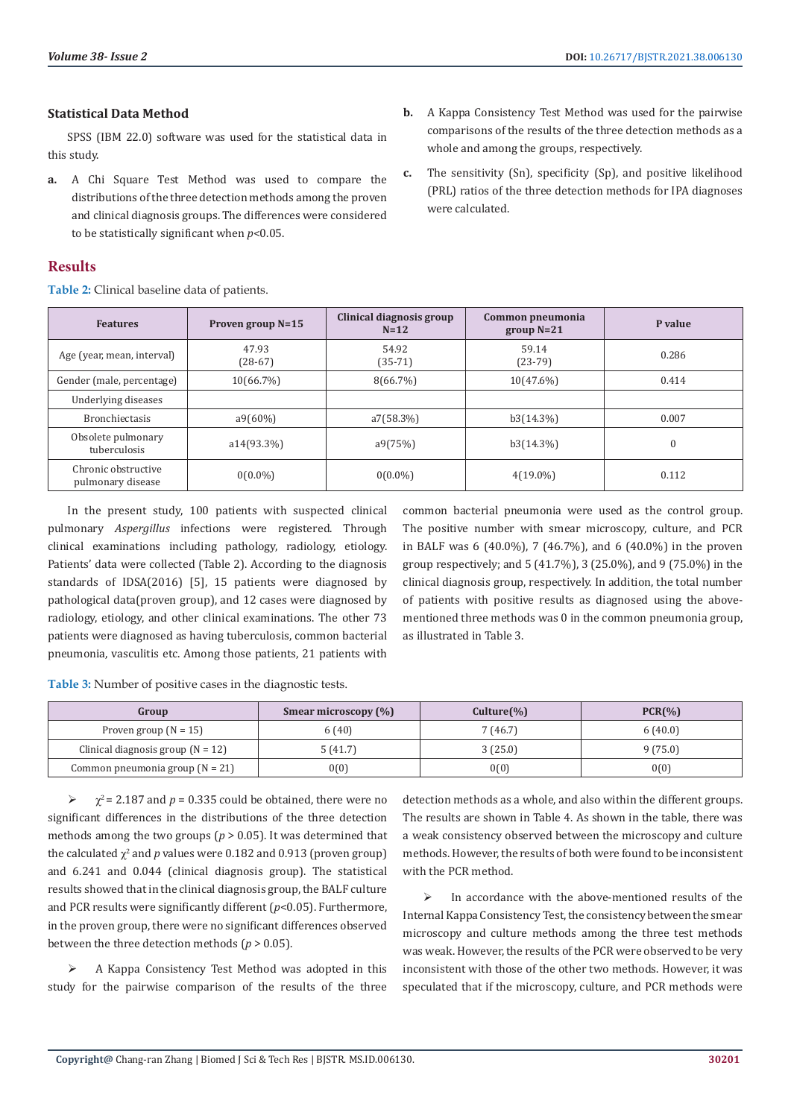#### **Statistical Data Method**

SPSS (IBM 22.0) software was used for the statistical data in this study.

**a.** A Chi Square Test Method was used to compare the distributions of the three detection methods among the proven and clinical diagnosis groups. The differences were considered to be statistically significant when *p*<0.05.

#### **Results**

**Table 2:** Clinical baseline data of patients.

- **b.** A Kappa Consistency Test Method was used for the pairwise comparisons of the results of the three detection methods as a whole and among the groups, respectively.
- **c.** The sensitivity (Sn), specificity (Sp), and positive likelihood (PRL) ratios of the three detection methods for IPA diagnoses were calculated.

| <b>Features</b>                          | Proven group $N=15$ | Clinical diagnosis group<br>$N=12$ | Common pneumonia<br>$group N=21$ | P value  |
|------------------------------------------|---------------------|------------------------------------|----------------------------------|----------|
| Age (year, mean, interval)               | 47.93<br>$(28-67)$  | 54.92<br>$(35-71)$                 | 59.14<br>$(23-79)$               | 0.286    |
| Gender (male, percentage)                | 10(66.7%)           | $8(66.7\%)$                        | $10(47.6\%)$                     | 0.414    |
| Underlying diseases                      |                     |                                    |                                  |          |
| <b>Bronchiectasis</b>                    | $a9(60\%)$          | a7(58.3%)                          | b3(14.3%)                        | 0.007    |
| Obsolete pulmonary<br>tuberculosis       | a14(93.3%)          | a9(75%)                            | b3(14.3%)                        | $\theta$ |
| Chronic obstructive<br>pulmonary disease | $0(0.0\%)$          | $0(0.0\%)$                         | $4(19.0\%)$                      | 0.112    |

In the present study, 100 patients with suspected clinical pulmonary *Aspergillus* infections were registered. Through clinical examinations including pathology, radiology, etiology. Patients' data were collected (Table 2). According to the diagnosis standards of IDSA(2016) [5], 15 patients were diagnosed by pathological data(proven group), and 12 cases were diagnosed by radiology, etiology, and other clinical examinations. The other 73 patients were diagnosed as having tuberculosis, common bacterial pneumonia, vasculitis etc. Among those patients, 21 patients with

common bacterial pneumonia were used as the control group. The positive number with smear microscopy, culture, and PCR in BALF was 6 (40.0%), 7 (46.7%), and 6 (40.0%) in the proven group respectively; and 5 (41.7%), 3 (25.0%), and 9 (75.0%) in the clinical diagnosis group, respectively. In addition, the total number of patients with positive results as diagnosed using the abovementioned three methods was 0 in the common pneumonia group, as illustrated in Table 3.

**Table 3:** Number of positive cases in the diagnostic tests.

| Group                               | Smear microscopy $(\%)$ | $Culture(\% )$ | PCR(%   |
|-------------------------------------|-------------------------|----------------|---------|
| Proven group $(N = 15)$             | 6(40)                   | 7(46.7)        | 6(40.0) |
| Clinical diagnosis group $(N = 12)$ | 5(41.7)                 | 3(25.0)        | 9(75.0) |
| Common pneumonia group $(N = 21)$   | 0(0)                    | 0(0)           | 0(0)    |

 $\triangleright$   $\chi^2$  = 2.187 and *p* = 0.335 could be obtained, there were no significant differences in the distributions of the three detection methods among the two groups ( $p > 0.05$ ). It was determined that the calculated  $\chi^2$  and  $p$  values were 0.182 and 0.913 (proven group) and 6.241 and 0.044 (clinical diagnosis group). The statistical results showed that in the clinical diagnosis group, the BALF culture and PCR results were significantly different (*p*<0.05). Furthermore, in the proven group, there were no significant differences observed between the three detection methods ( $p > 0.05$ ).

 A Kappa Consistency Test Method was adopted in this study for the pairwise comparison of the results of the three

detection methods as a whole, and also within the different groups. The results are shown in Table 4. As shown in the table, there was a weak consistency observed between the microscopy and culture methods. However, the results of both were found to be inconsistent with the PCR method.

 $\triangleright$  In accordance with the above-mentioned results of the Internal Kappa Consistency Test, the consistency between the smear microscopy and culture methods among the three test methods was weak. However, the results of the PCR were observed to be very inconsistent with those of the other two methods. However, it was speculated that if the microscopy, culture, and PCR methods were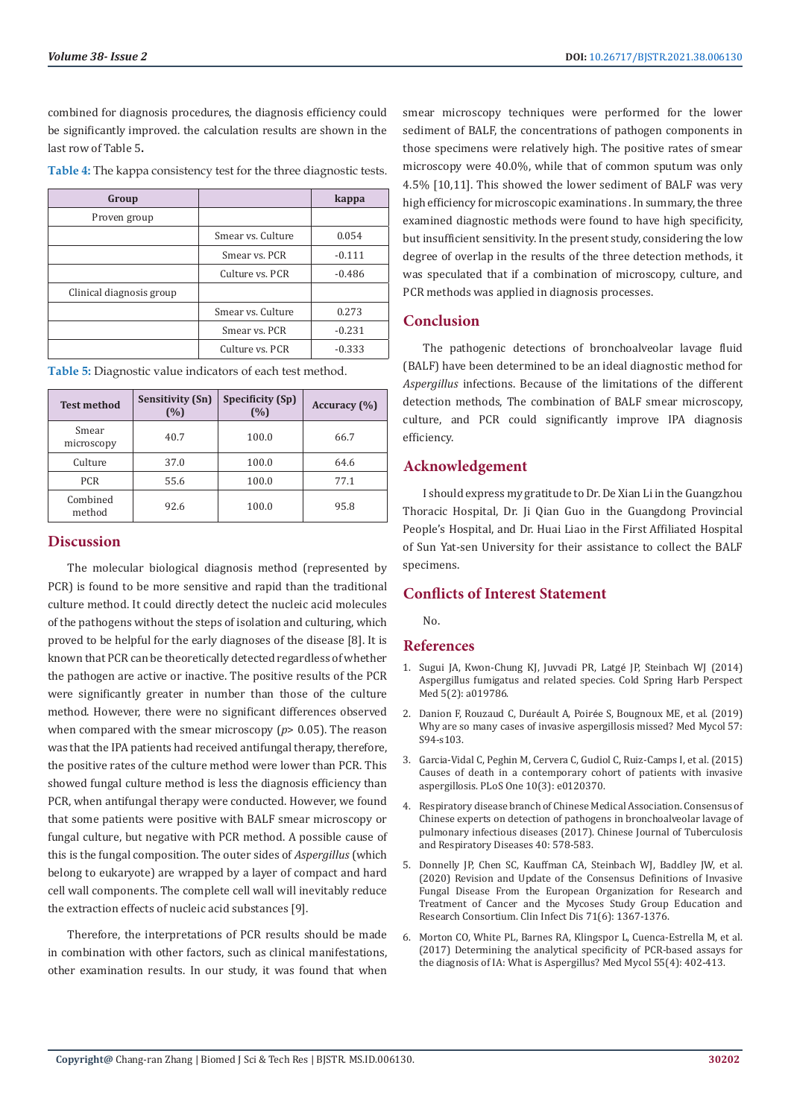combined for diagnosis procedures, the diagnosis efficiency could be significantly improved. the calculation results are shown in the last row of Table 5**.**

|  |  | Table 4: The kappa consistency test for the three diagnostic tests. |
|--|--|---------------------------------------------------------------------|
|  |  |                                                                     |

| Group                    |                   | kappa    |
|--------------------------|-------------------|----------|
| Proven group             |                   |          |
|                          | Smear vs. Culture | 0.054    |
|                          | Smear vs. PCR     | $-0.111$ |
|                          | Culture vs. PCR   | $-0.486$ |
| Clinical diagnosis group |                   |          |
|                          | Smear vs. Culture | 0.273    |
|                          | Smear vs. PCR     | $-0.231$ |
|                          | Culture vs. PCR   | $-0.333$ |

| Table 5: Diagnostic value indicators of each test method. |  |  |                            |  |
|-----------------------------------------------------------|--|--|----------------------------|--|
|                                                           |  |  | <u>a iii casta iai cas</u> |  |

| <b>Test method</b>  | <b>Sensitivity (Sn)</b><br>(%) | Specificity (Sp)<br>(%) | Accuracy (%) |
|---------------------|--------------------------------|-------------------------|--------------|
| Smear<br>microscopy | 40.7                           | 100.0                   | 66.7         |
| Culture             | 37.0                           | 100.0                   | 64.6         |
| <b>PCR</b>          | 55.6                           | 100.0                   | 77.1         |
| Combined<br>method  | 92.6                           | 100.0                   | 95.8         |

#### **Discussion**

The molecular biological diagnosis method (represented by PCR) is found to be more sensitive and rapid than the traditional culture method. It could directly detect the nucleic acid molecules of the pathogens without the steps of isolation and culturing, which proved to be helpful for the early diagnoses of the disease [8]. It is known that PCR can be theoretically detected regardless of whether the pathogen are active or inactive. The positive results of the PCR were significantly greater in number than those of the culture method. However, there were no significant differences observed when compared with the smear microscopy ( $p$ > 0.05). The reason was that the IPA patients had received antifungal therapy, therefore, the positive rates of the culture method were lower than PCR. This showed fungal culture method is less the diagnosis efficiency than PCR, when antifungal therapy were conducted. However, we found that some patients were positive with BALF smear microscopy or fungal culture, but negative with PCR method. A possible cause of this is the fungal composition. The outer sides of *Aspergillus* (which belong to eukaryote) are wrapped by a layer of compact and hard cell wall components. The complete cell wall will inevitably reduce the extraction effects of nucleic acid substances [9].

Therefore, the interpretations of PCR results should be made in combination with other factors, such as clinical manifestations, other examination results. In our study, it was found that when smear microscopy techniques were performed for the lower sediment of BALF, the concentrations of pathogen components in those specimens were relatively high. The positive rates of smear microscopy were 40.0%, while that of common sputum was only 4.5% [10,11]. This showed the lower sediment of BALF was very high efficiency for microscopic examinations . In summary, the three examined diagnostic methods were found to have high specificity, but insufficient sensitivity. In the present study, considering the low degree of overlap in the results of the three detection methods, it was speculated that if a combination of microscopy, culture, and PCR methods was applied in diagnosis processes.

## **Conclusion**

The pathogenic detections of bronchoalveolar lavage fluid (BALF) have been determined to be an ideal diagnostic method for *Aspergillus* infections. Because of the limitations of the different detection methods, The combination of BALF smear microscopy, culture, and PCR could significantly improve IPA diagnosis efficiency.

#### **Acknowledgement**

I should express my gratitude to Dr. De Xian Li in the Guangzhou Thoracic Hospital, Dr. Ji Qian Guo in the Guangdong Provincial People's Hospital, and Dr. Huai Liao in the First Affiliated Hospital of Sun Yat-sen University for their assistance to collect the BALF specimens.

## **Conflicts of Interest Statement**

No.

## **References**

- 1. [Sugui JA, Kwon-Chung KJ, Juvvadi PR, Latg](https://pubmed.ncbi.nlm.nih.gov/25377144/)é JP, Steinbach WJ (2014) [Aspergillus fumigatus and related species. Cold Spring Harb Perspect](https://pubmed.ncbi.nlm.nih.gov/25377144/) [Med 5\(2\): a019786.](https://pubmed.ncbi.nlm.nih.gov/25377144/)
- 2. Danion F, Rouzaud C, Duréault A, Poiré[e S, Bougnoux ME, et al. \(2019\)](https://pubmed.ncbi.nlm.nih.gov/30816963/) [Why are so many cases of invasive aspergillosis missed? Med Mycol 57:](https://pubmed.ncbi.nlm.nih.gov/30816963/) [S94-s103.](https://pubmed.ncbi.nlm.nih.gov/30816963/)
- 3. [Garcia-Vidal C, Peghin M, Cervera C, Gudiol C, Ruiz-Camps I, et al. \(2015\)](https://pubmed.ncbi.nlm.nih.gov/25803853/) [Causes of death in a contemporary cohort of patients with invasive](https://pubmed.ncbi.nlm.nih.gov/25803853/) [aspergillosis. PLoS One 10\(3\): e0120370.](https://pubmed.ncbi.nlm.nih.gov/25803853/)
- 4. Respiratory disease branch of Chinese Medical Association. Consensus of Chinese experts on detection of pathogens in bronchoalveolar lavage of pulmonary infectious diseases (2017). Chinese Journal of Tuberculosis and Respiratory Diseases 40: 578-583.
- 5. [Donnelly JP, Chen SC, Kauffman CA, Steinbach WJ, Baddley JW, et al.](https://pubmed.ncbi.nlm.nih.gov/31802125/) [\(2020\) Revision and Update of the Consensus Definitions of Invasive](https://pubmed.ncbi.nlm.nih.gov/31802125/) [Fungal Disease From the European Organization for Research and](https://pubmed.ncbi.nlm.nih.gov/31802125/) [Treatment of Cancer and the Mycoses Study Group Education and](https://pubmed.ncbi.nlm.nih.gov/31802125/) [Research Consortium. Clin Infect Dis 71\(6\): 1367-1376.](https://pubmed.ncbi.nlm.nih.gov/31802125/)
- 6. [Morton CO, White PL, Barnes RA, Klingspor L, Cuenca-Estrella M, et al.](https://pubmed.ncbi.nlm.nih.gov/28339744/) [\(2017\) Determining the analytical specificity of PCR-based assays for](https://pubmed.ncbi.nlm.nih.gov/28339744/) [the diagnosis of IA: What is Aspergillus? Med Mycol 55\(4\): 402-413.](https://pubmed.ncbi.nlm.nih.gov/28339744/)